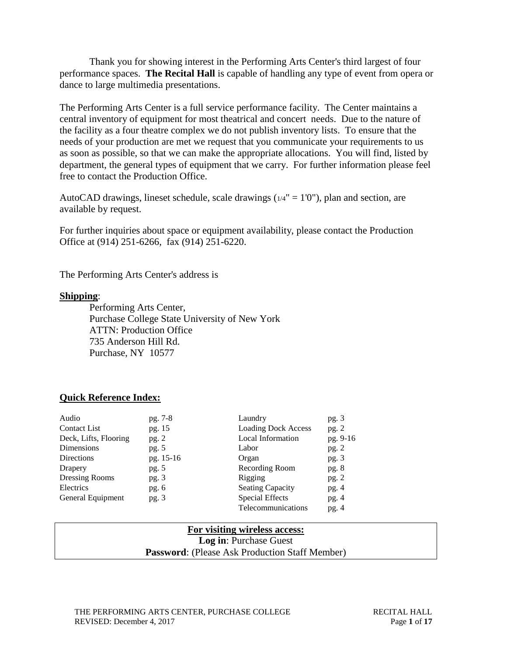Thank you for showing interest in the Performing Arts Center's third largest of four performance spaces. **The Recital Hall** is capable of handling any type of event from opera or dance to large multimedia presentations.

The Performing Arts Center is a full service performance facility. The Center maintains a central inventory of equipment for most theatrical and concert needs. Due to the nature of the facility as a four theatre complex we do not publish inventory lists. To ensure that the needs of your production are met we request that you communicate your requirements to us as soon as possible, so that we can make the appropriate allocations. You will find, listed by department, the general types of equipment that we carry. For further information please feel free to contact the Production Office.

AutoCAD drawings, lineset schedule, scale drawings  $(1/4" = 1'0")$ , plan and section, are available by request.

For further inquiries about space or equipment availability, please contact the Production Office at (914) 251-6266, fax (914) 251-6220.

The Performing Arts Center's address is

#### **Shipping**:

Performing Arts Center, Purchase College State University of New York ATTN: Production Office 735 Anderson Hill Rd. Purchase, NY 10577

### **Quick Reference Index:**

| Audio                 | pg. 7-8   | Laundry                    | pg.3     |
|-----------------------|-----------|----------------------------|----------|
| <b>Contact List</b>   | pg. 15    | <b>Loading Dock Access</b> | pg. $2$  |
| Deck, Lifts, Flooring | pg. 2     | Local Information          | pg. 9-16 |
| Dimensions            | pg. $5$   | Labor                      | pg.2     |
| Directions            | pg. 15-16 | Organ                      | pg.3     |
| Drapery               | pg. $5$   | Recording Room             | pg.8     |
| Dressing Rooms        | pg. $3$   | Rigging                    | pg.2     |
| Electrics             | pg. $6$   | <b>Seating Capacity</b>    | pg.4     |
| General Equipment     | pg.3      | <b>Special Effects</b>     | pg.4     |
|                       |           | Telecommunications         | pg.4     |

### **For visiting wireless access: Log in**: Purchase Guest **Password**: (Please Ask Production Staff Member)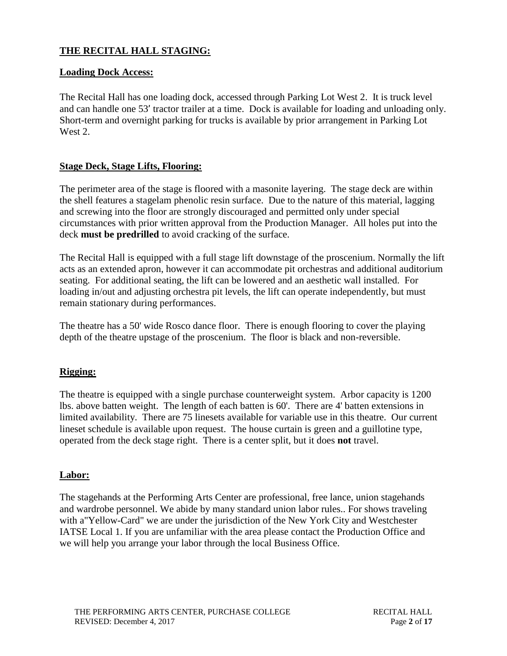# **THE RECITAL HALL STAGING:**

## **Loading Dock Access:**

The Recital Hall has one loading dock, accessed through Parking Lot West 2. It is truck level and can handle one 53' tractor trailer at a time. Dock is available for loading and unloading only. Short-term and overnight parking for trucks is available by prior arrangement in Parking Lot West 2.

### **Stage Deck, Stage Lifts, Flooring:**

The perimeter area of the stage is floored with a masonite layering. The stage deck are within the shell features a stagelam phenolic resin surface. Due to the nature of this material, lagging and screwing into the floor are strongly discouraged and permitted only under special circumstances with prior written approval from the Production Manager. All holes put into the deck **must be predrilled** to avoid cracking of the surface.

The Recital Hall is equipped with a full stage lift downstage of the proscenium. Normally the lift acts as an extended apron, however it can accommodate pit orchestras and additional auditorium seating. For additional seating, the lift can be lowered and an aesthetic wall installed. For loading in/out and adjusting orchestra pit levels, the lift can operate independently, but must remain stationary during performances.

The theatre has a 50' wide Rosco dance floor. There is enough flooring to cover the playing depth of the theatre upstage of the proscenium. The floor is black and non-reversible.

### **Rigging:**

The theatre is equipped with a single purchase counterweight system. Arbor capacity is 1200 lbs. above batten weight. The length of each batten is 60'. There are 4' batten extensions in limited availability. There are 75 linesets available for variable use in this theatre. Our current lineset schedule is available upon request. The house curtain is green and a guillotine type, operated from the deck stage right. There is a center split, but it does **not** travel.

### **Labor:**

The stagehands at the Performing Arts Center are professional, free lance, union stagehands and wardrobe personnel. We abide by many standard union labor rules.. For shows traveling with a"Yellow-Card" we are under the jurisdiction of the New York City and Westchester IATSE Local 1. If you are unfamiliar with the area please contact the Production Office and we will help you arrange your labor through the local Business Office.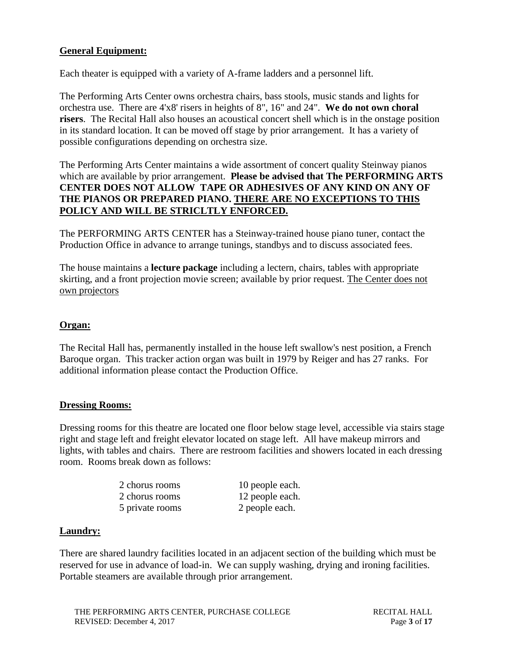# **General Equipment:**

Each theater is equipped with a variety of A-frame ladders and a personnel lift.

The Performing Arts Center owns orchestra chairs, bass stools, music stands and lights for orchestra use. There are 4'x8' risers in heights of 8", 16" and 24". **We do not own choral risers**. The Recital Hall also houses an acoustical concert shell which is in the onstage position in its standard location. It can be moved off stage by prior arrangement. It has a variety of possible configurations depending on orchestra size.

The Performing Arts Center maintains a wide assortment of concert quality Steinway pianos which are available by prior arrangement. **Please be advised that The PERFORMING ARTS CENTER DOES NOT ALLOW TAPE OR ADHESIVES OF ANY KIND ON ANY OF THE PIANOS OR PREPARED PIANO. THERE ARE NO EXCEPTIONS TO THIS POLICY AND WILL BE STRICLTLY ENFORCED.**

The PERFORMING ARTS CENTER has a Steinway-trained house piano tuner, contact the Production Office in advance to arrange tunings, standbys and to discuss associated fees.

The house maintains a **lecture package** including a lectern, chairs, tables with appropriate skirting, and a front projection movie screen; available by prior request. The Center does not own projectors

# **Organ:**

The Recital Hall has, permanently installed in the house left swallow's nest position, a French Baroque organ. This tracker action organ was built in 1979 by Reiger and has 27 ranks. For additional information please contact the Production Office.

# **Dressing Rooms:**

Dressing rooms for this theatre are located one floor below stage level, accessible via stairs stage right and stage left and freight elevator located on stage left. All have makeup mirrors and lights, with tables and chairs. There are restroom facilities and showers located in each dressing room. Rooms break down as follows:

| 2 chorus rooms  | 10 people each. |
|-----------------|-----------------|
| 2 chorus rooms  | 12 people each. |
| 5 private rooms | 2 people each.  |

# **Laundry:**

There are shared laundry facilities located in an adjacent section of the building which must be reserved for use in advance of load-in. We can supply washing, drying and ironing facilities. Portable steamers are available through prior arrangement.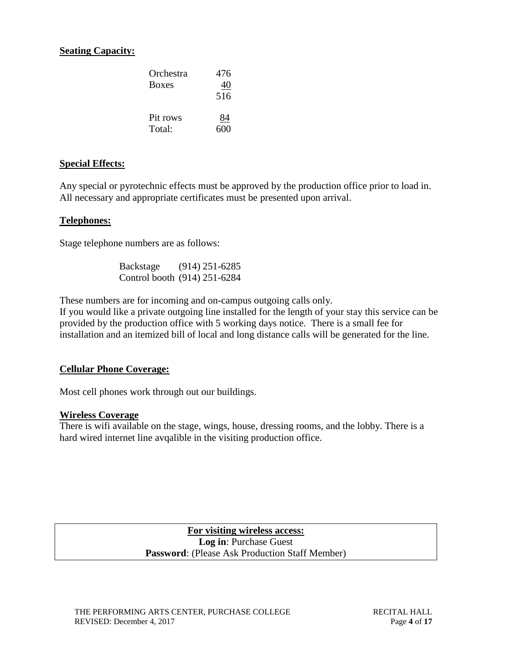# **Seating Capacity:**

| Orchestra<br><b>Boxes</b> | 476<br>40<br>516 |
|---------------------------|------------------|
| Pit rows                  | 84               |
| Total:                    | 600              |

#### **Special Effects:**

Any special or pyrotechnic effects must be approved by the production office prior to load in. All necessary and appropriate certificates must be presented upon arrival.

#### **Telephones:**

Stage telephone numbers are as follows:

Backstage (914) 251-6285 Control booth (914) 251-6284

These numbers are for incoming and on-campus outgoing calls only.

If you would like a private outgoing line installed for the length of your stay this service can be provided by the production office with 5 working days notice. There is a small fee for installation and an itemized bill of local and long distance calls will be generated for the line.

### **Cellular Phone Coverage:**

Most cell phones work through out our buildings.

#### **Wireless Coverage**

There is wifi available on the stage, wings, house, dressing rooms, and the lobby. There is a hard wired internet line avqalible in the visiting production office.

> **For visiting wireless access: Log in**: Purchase Guest **Password**: (Please Ask Production Staff Member)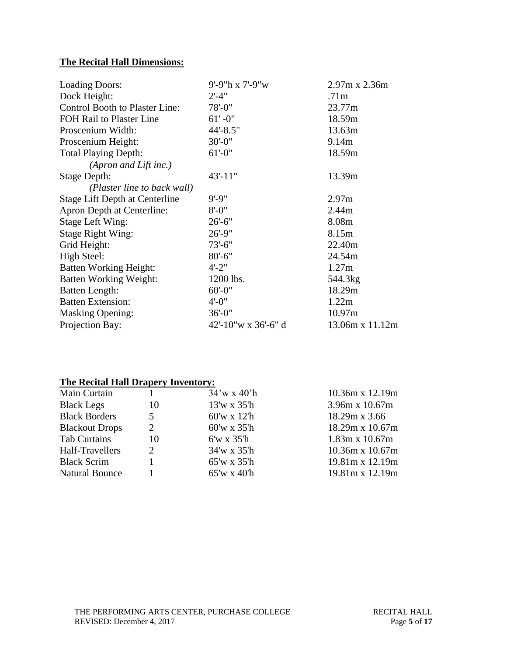# **The Recital Hall Dimensions:**

| <b>Loading Doors:</b>                 | 9'-9"h x 7'-9"w     | 2.97m x 2.36m     |
|---------------------------------------|---------------------|-------------------|
| Dock Height:                          | $2' - 4''$          | .71 <sub>m</sub>  |
| Control Booth to Plaster Line:        | $78 - 0$ "          | 23.77m            |
| FOH Rail to Plaster Line              | $61' - 0''$         | 18.59m            |
| Proscenium Width:                     | $44' - 8.5"$        | 13.63m            |
| Proscenium Height:                    | $30' - 0$ "         | 9.14m             |
| <b>Total Playing Depth:</b>           | $61' - 0''$         | 18.59m            |
| (Apron and Lift inc.)                 |                     |                   |
| <b>Stage Depth:</b>                   | $43' - 11"$         | 13.39m            |
| (Plaster line to back wall)           |                     |                   |
| <b>Stage Lift Depth at Centerline</b> | $9' - 9''$          | 2.97 <sub>m</sub> |
| Apron Depth at Centerline:            | $8' - 0''$          | 2.44m             |
| <b>Stage Left Wing:</b>               | $26' - 6''$         | 8.08m             |
| <b>Stage Right Wing:</b>              | $26' - 9''$         | 8.15m             |
| Grid Height:                          | $73' - 6''$         | 22.40m            |
| High Steel:                           | $80' - 6''$         | 24.54m            |
| Batten Working Height:                | $4' - 2''$          | 1.27m             |
| <b>Batten Working Weight:</b>         | 1200 lbs.           | 544.3kg           |
| <b>Batten Length:</b>                 | $60' - 0$ "         | 18.29m            |
| <b>Batten Extension:</b>              | $4' - 0''$          | 1.22m             |
| <b>Masking Opening:</b>               | $36' - 0$ "         | 10.97m            |
| Projection Bay:                       | 42'-10"w x 36'-6" d | 13.06m x 11.12m   |

# **The Recital Hall Drapery Inventory:**

| Main Curtain          |                             | $34'$ w x $40'$ h | 10.36m x 12.19m        |
|-----------------------|-----------------------------|-------------------|------------------------|
| <b>Black Legs</b>     | 10                          | $13'$ w x $35'$ h | 3.96m x 10.67m         |
| <b>Black Borders</b>  | 5                           | $60'$ w x 12'h    | 18.29m x 3.66          |
| <b>Blackout Drops</b> | 2                           | $60'$ w x 35'h    | 18.29m x 10.67m        |
| <b>Tab Curtains</b>   | 10                          | $6'w \times 35'h$ | $1.83m \times 10.67m$  |
| Half-Travellers       | $\mathcal{D}_{\mathcal{L}}$ | 34'w x 35'h       | $10.36m \times 10.67m$ |
| <b>Black Scrim</b>    |                             | 65'w x 35'h       | 19.81m x 12.19m        |
| <b>Natural Bounce</b> |                             | $65'$ w x 40'h    | 19.81m x 12.19m        |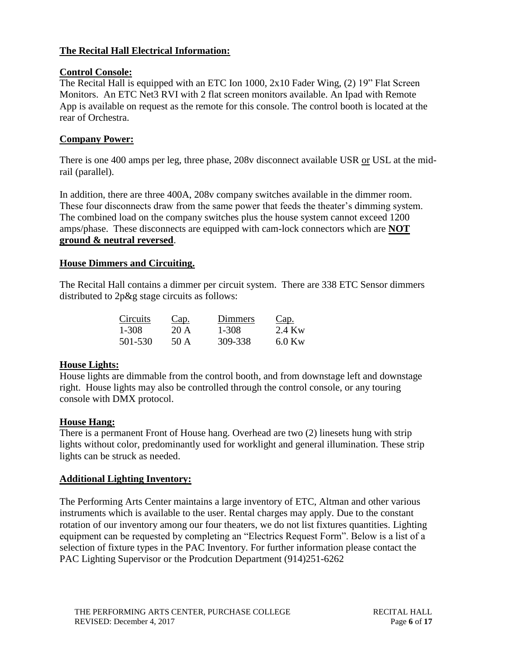# **The Recital Hall Electrical Information:**

# **Control Console:**

The Recital Hall is equipped with an ETC Ion 1000, 2x10 Fader Wing, (2) 19" Flat Screen Monitors. An ETC Net3 RVI with 2 flat screen monitors available. An Ipad with Remote App is available on request as the remote for this console. The control booth is located at the rear of Orchestra.

# **Company Power:**

There is one 400 amps per leg, three phase, 208v disconnect available USR or USL at the midrail (parallel).

In addition, there are three 400A, 208v company switches available in the dimmer room. These four disconnects draw from the same power that feeds the theater's dimming system. The combined load on the company switches plus the house system cannot exceed 1200 amps/phase. These disconnects are equipped with cam-lock connectors which are **NOT ground & neutral reversed**.

### **House Dimmers and Circuiting.**

The Recital Hall contains a dimmer per circuit system. There are 338 ETC Sensor dimmers distributed to 2p&g stage circuits as follows:

| Circuits | Cap. | Dimmers | <u>Cap.</u> |
|----------|------|---------|-------------|
| 1-308    | 20 A | 1-308   | 2.4 Kw      |
| 501-530  | 50 A | 309-338 | $6.0$ Kw    |

# **House Lights:**

House lights are dimmable from the control booth, and from downstage left and downstage right. House lights may also be controlled through the control console, or any touring console with DMX protocol.

# **House Hang:**

There is a permanent Front of House hang. Overhead are two (2) linesets hung with strip lights without color, predominantly used for worklight and general illumination. These strip lights can be struck as needed.

# **Additional Lighting Inventory:**

The Performing Arts Center maintains a large inventory of ETC, Altman and other various instruments which is available to the user. Rental charges may apply. Due to the constant rotation of our inventory among our four theaters, we do not list fixtures quantities. Lighting equipment can be requested by completing an "Electrics Request Form". Below is a list of a selection of fixture types in the PAC Inventory. For further information please contact the PAC Lighting Supervisor or the Prodcution Department (914)251-6262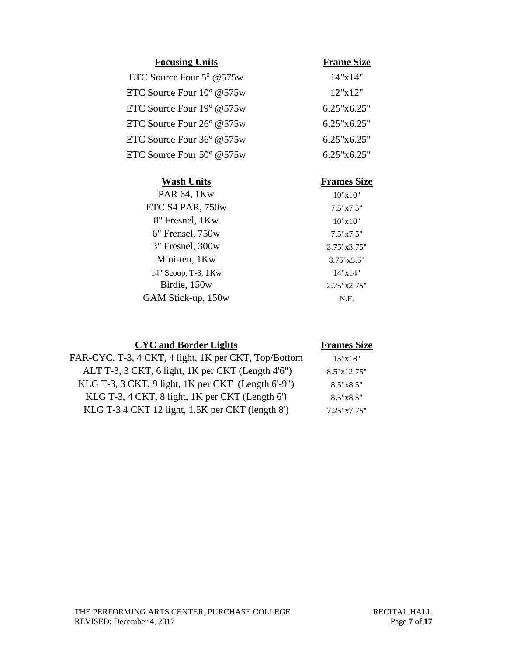| <b>Focusing Units</b>                 | <b>Frame Size</b>  |
|---------------------------------------|--------------------|
| ETC Source Four $5^{\circ}$ @575w     | 14"x14"            |
| ETC Source Four $10^{\circ}$ @575w    | 12"x12"            |
| ETC Source Four 19 <sup>o</sup> @575w | 6.25"x6.25"        |
| ETC Source Four $26^{\circ}$ @575w    | $6.25$ "x $6.25$ " |
| ETC Source Four 36° @575w             | 6.25"x6.25"        |
| ETC Source Four $50^{\circ}$ @575w    | 6.25"x6.25"        |
| <b>Wash Units</b>                     | <b>Frames Size</b> |
| PAR 64, 1Kw                           | 10"x10"            |
| ETC S4 PAR, 750w                      | $7.5" \times 7.5"$ |

| ETC S4 PAR, 750w    | $7.5" \times 7.5"$ |
|---------------------|--------------------|
| 8" Fresnel, 1Kw     | 10"x10"            |
| 6" Frensel, 750w    | 7.5"x7.5"          |
| 3" Fresnel, 300w    | 3.75"x3.75"        |
| Mini-ten, 1Kw       | 8.75"x5.5"         |
| 14" Scoop, T-3, 1Kw | 14"x14"            |
| Birdie, 150w        | 2.75"x2.75"        |
| GAM Stick-up, 150w  | N.F.               |

| <b>CYC</b> and Border Lights                         | <b>Frames Size</b> |
|------------------------------------------------------|--------------------|
| FAR-CYC, T-3, 4 CKT, 4 light, 1K per CKT, Top/Bottom | 15"x18"            |
| ALT T-3, 3 CKT, 6 light, 1K per CKT (Length 4'6")    | 8.5"x12.75"        |
| KLG T-3, 3 CKT, 9 light, 1K per CKT (Length 6'-9")   | $8.5" \times 8.5"$ |
| KLG T-3, 4 CKT, 8 light, 1K per CKT (Length 6')      | $8.5" \times 8.5"$ |
| KLG T-3 4 CKT 12 light, 1.5K per CKT (length 8')     | 7.25"x7.75"        |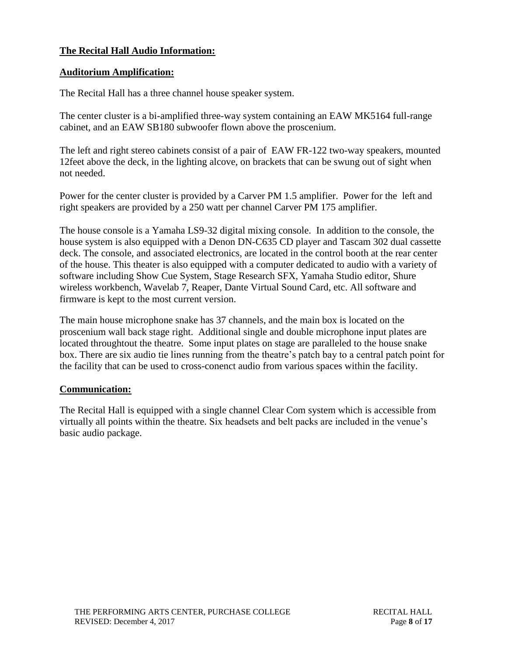# **The Recital Hall Audio Information:**

# **Auditorium Amplification:**

The Recital Hall has a three channel house speaker system.

The center cluster is a bi-amplified three-way system containing an EAW MK5164 full-range cabinet, and an EAW SB180 subwoofer flown above the proscenium.

The left and right stereo cabinets consist of a pair of EAW FR-122 two-way speakers, mounted 12feet above the deck, in the lighting alcove, on brackets that can be swung out of sight when not needed.

Power for the center cluster is provided by a Carver PM 1.5 amplifier. Power for the left and right speakers are provided by a 250 watt per channel Carver PM 175 amplifier.

The house console is a Yamaha LS9-32 digital mixing console. In addition to the console, the house system is also equipped with a Denon DN-C635 CD player and Tascam 302 dual cassette deck. The console, and associated electronics, are located in the control booth at the rear center of the house. This theater is also equipped with a computer dedicated to audio with a variety of software including Show Cue System, Stage Research SFX, Yamaha Studio editor, Shure wireless workbench, Wavelab 7, Reaper, Dante Virtual Sound Card, etc. All software and firmware is kept to the most current version.

The main house microphone snake has 37 channels, and the main box is located on the proscenium wall back stage right. Additional single and double microphone input plates are located throughtout the theatre. Some input plates on stage are paralleled to the house snake box. There are six audio tie lines running from the theatre's patch bay to a central patch point for the facility that can be used to cross-conenct audio from various spaces within the facility.

# **Communication:**

The Recital Hall is equipped with a single channel Clear Com system which is accessible from virtually all points within the theatre. Six headsets and belt packs are included in the venue's basic audio package.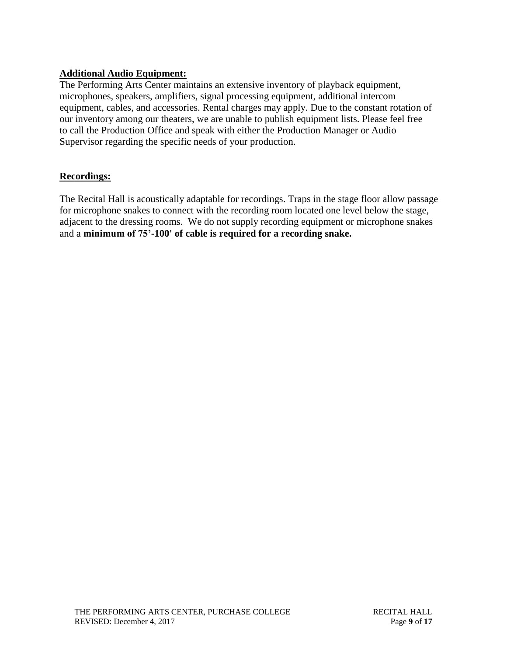# **Additional Audio Equipment:**

The Performing Arts Center maintains an extensive inventory of playback equipment, microphones, speakers, amplifiers, signal processing equipment, additional intercom equipment, cables, and accessories. Rental charges may apply. Due to the constant rotation of our inventory among our theaters, we are unable to publish equipment lists. Please feel free to call the Production Office and speak with either the Production Manager or Audio Supervisor regarding the specific needs of your production.

# **Recordings:**

The Recital Hall is acoustically adaptable for recordings. Traps in the stage floor allow passage for microphone snakes to connect with the recording room located one level below the stage, adjacent to the dressing rooms. We do not supply recording equipment or microphone snakes and a **minimum of 75'-100' of cable is required for a recording snake.**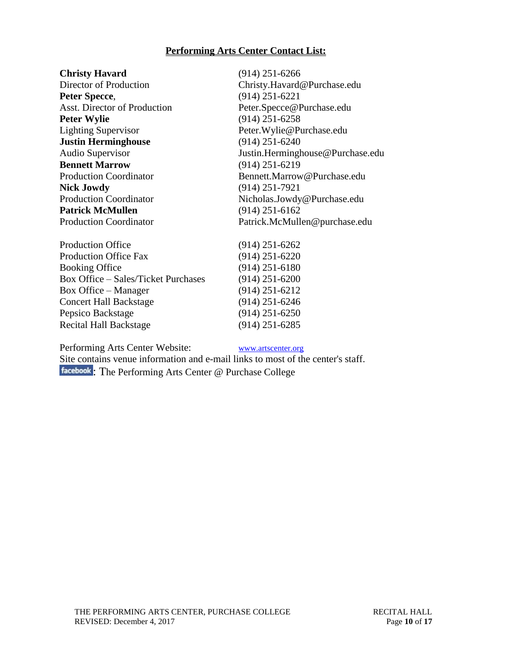# **Performing Arts Center Contact List:**

| <b>Christy Havard</b>         | $(914)$ 251-6266                 |  |
|-------------------------------|----------------------------------|--|
| Director of Production        | Christy.Havard@Purchase.edu      |  |
| Peter Specce,                 | $(914)$ 251-6221                 |  |
| Asst. Director of Production  | Peter.Specce@Purchase.edu        |  |
| <b>Peter Wylie</b>            | $(914)$ 251-6258                 |  |
| <b>Lighting Supervisor</b>    | Peter. Wylie@Purchase.edu        |  |
| <b>Justin Herminghouse</b>    | $(914)$ 251-6240                 |  |
| Audio Supervisor              | Justin.Herminghouse@Purchase.edu |  |
| <b>Bennett Marrow</b>         | $(914)$ 251-6219                 |  |
| <b>Production Coordinator</b> | Bennett.Marrow@Purchase.edu      |  |
| <b>Nick Jowdy</b>             | $(914)$ 251-7921                 |  |
| <b>Production Coordinator</b> | Nicholas.Jowdy@Purchase.edu      |  |
| <b>Patrick McMullen</b>       | $(914)$ 251-6162                 |  |
| <b>Production Coordinator</b> | Patrick.McMullen@purchase.edu    |  |
|                               |                                  |  |

| <b>Production Office</b>                   | $(914)$ 251-6262 |
|--------------------------------------------|------------------|
| <b>Production Office Fax</b>               | $(914)$ 251-6220 |
| <b>Booking Office</b>                      | $(914)$ 251-6180 |
| <b>Box Office - Sales/Ticket Purchases</b> | $(914)$ 251-6200 |
| Box Office – Manager                       | $(914)$ 251-6212 |
| <b>Concert Hall Backstage</b>              | $(914)$ 251-6246 |
| Pepsico Backstage                          | $(914)$ 251-6250 |
| <b>Recital Hall Backstage</b>              | $(914)$ 251-6285 |
|                                            |                  |

Performing Arts Center Website: [www.artscenter.org](http://www.artscenter.org/)

Site contains venue information and e-mail links to most of the center's staff. : The Performing Arts Center @ Purchase College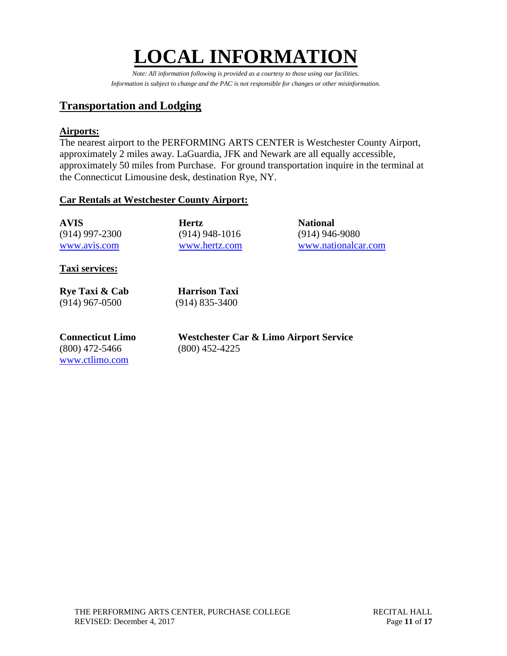# **LOCAL INFORMATION**

*Note: All information following is provided as a courtesy to those using our facilities. Information is subject to change and the PAC is not responsible for changes or other misinformation.*

# **Transportation and Lodging**

# **Airports:**

The nearest airport to the PERFORMING ARTS CENTER is Westchester County Airport, approximately 2 miles away. LaGuardia, JFK and Newark are all equally accessible, approximately 50 miles from Purchase. For ground transportation inquire in the terminal at the Connecticut Limousine desk, destination Rye, NY.

# **Car Rentals at Westchester County Airport:**

| <b>AVIS</b>      | <b>Hertz</b>     | <b>National</b>     |
|------------------|------------------|---------------------|
| $(914)$ 997-2300 | $(914)$ 948-1016 | $(914)$ 946-9080    |
| www.avis.com     | www.hertz.com    | www.nationalcar.com |

**Taxi services:**

**Rye Taxi & Cab Harrison Taxi** (914) 967-0500 (914) 835-3400

(800) 472-5466 (800) 452-4225 [www.ctlimo.com](http://www.ctlimo.com/)

**Connecticut Limo Westchester Car & Limo Airport Service**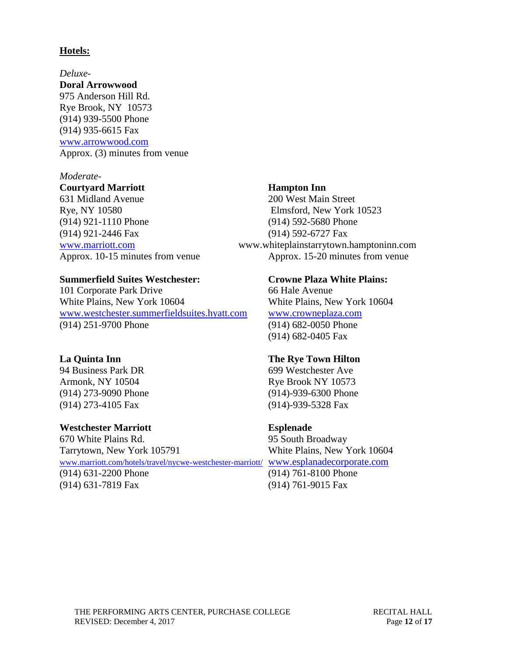### **Hotels:**

*Deluxe-***Doral Arrowwood** 975 Anderson Hill Rd. Rye Brook, NY 10573 (914) 939-5500 Phone (914) 935-6615 Fax [www.arrowwood.com](http://www.arrowwood.com/) Approx. (3) minutes from venue

#### *Moderate-*

#### **Courtyard Marriott Hampton Inn**

631 Midland Avenue 200 West Main Street Rye, NY 10580 Elmsford, New York 10523 (914) 921-1110 Phone (914) 592-5680 Phone (914) 921-2446 Fax (914) 592-6727 Fax

#### **Summerfield Suites Westchester: Crowne Plaza White Plains:**

101 Corporate Park Drive 66 Hale Avenue White Plains, New York 10604 White Plains, New York 10604 [www.westchester.summerfieldsuites.hyatt.com](file://///vsfile02/Trevor%20C/Technical%20Info%20working/Pac%20Technical%20Info/Source%20Files/Theater%20A/www.westchester.summerfieldsuites.hyatt.com) [www.crowneplaza.com](http://www.crowneplaza.com/) (914) 251-9700 Phone (914) 682-0050 Phone

94 Business Park DR 699 Westchester Ave (914) 273-4105 Fax (914)-939-5328 Fax

### **Westchester Marriott Esplenade**

670 White Plains Rd. 95 South Broadway Tarrytown, New York 105791 White Plains, New York 10604 [www.marriott.com/hotels/travel/nycwe-westchester-marriott/](http://www.marriott.com/hotels/travel/nycwe-westchester-marriott/) [www.esplanadecorporate.com](file://///vsfile02/Trevor%20C/Technical%20Info%20working/Pac%20Technical%20Info/Source%20Files/Theater%20A/www.esplanadecorporate.com) (914) 631-2200 Phone (914) 761-8100 Phone (914) 631-7819 Fax (914) 761-9015 Fax

[www.marriott.com](http://www.marriott.com/) www.whiteplainstarrytown.hamptoninn.com Approx. 10-15 minutes from venue Approx. 15-20 minutes from venue

(914) 682-0405 Fax

### **La Quinta Inn The Rye Town Hilton**

Armonk, NY 10504 Rye Brook NY 10573 (914) 273-9090 Phone (914)-939-6300 Phone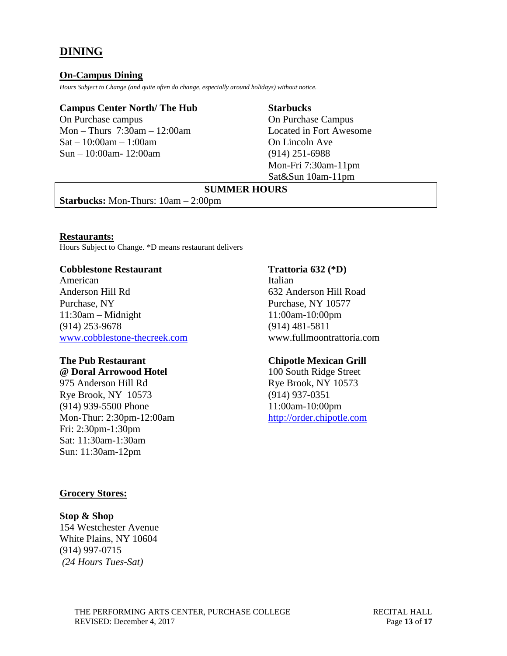# **DINING**

#### **On-Campus Dining**

*Hours Subject to Change (and quite often do change, especially around holidays) without notice.*

#### **Campus Center North/ The Hub Starbucks**

On Purchase campus On Purchase Campus Mon – Thurs 7:30am – 12:00am Located in Fort Awesome  $Sat - 10:00am - 1:00am$  On Lincoln Ave Sun – 10:00am- 12:00am (914) 251-6988

Mon-Fri 7:30am-11pm Sat&Sun 10am-11pm

# **SUMMER HOURS**

**Starbucks:** Mon-Thurs: 10am – 2:00pm

#### **Restaurants:**

Hours Subject to Change. \*D means restaurant delivers

#### **Cobblestone Restaurant Trattoria 632 (\*D)**

American Italian Anderson Hill Rd 632 Anderson Hill Road Purchase, NY Purchase, NY 10577 11:30am – Midnight 11:00am-10:00pm (914) 253-9678 (914) 481-5811 [www.cobblestone-thecreek.com](file://///vsfile02/Trevor%20C/Technical%20Info%20working/Pac%20Technical%20Info/Source%20Files/Theater%20A/www.cobblestone-thecreek.com) www.fullmoontrattoria.com

975 Anderson Hill Rd Rye Brook, NY 10573 Rye Brook, NY 10573 (914) 937-0351 (914) 939-5500 Phone 11:00am-10:00pm Mon-Thur: 2:30pm-12:00am [http://order.chipotle.com](http://order.chipotle.com/) Fri: 2:30pm-1:30pm Sat: 11:30am-1:30am

### **The Pub Restaurant Chipotle Mexican Grill**

**@ Doral Arrowood Hotel** 100 South Ridge Street

#### **Grocery Stores:**

Sun: 11:30am-12pm

#### **Stop & Shop**

154 Westchester Avenue White Plains, NY 10604 (914) 997-0715 *(24 Hours Tues-Sat)*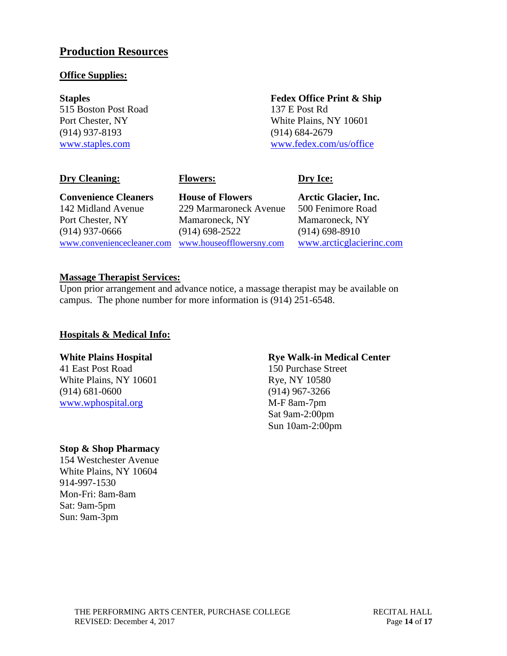# **Production Resources**

### **Office Supplies:**

515 Boston Post Road 137 E Post Rd (914) 937-8193 (914) 684-2679

# **Staples Fedex Office Print & Ship** Port Chester, NY 10601 [www.staples.com](file://///vsfile02/Trevor%20C/Technical%20Info%20working/Pac%20Technical%20Info/Source%20Files/Theater%20A/www.staples.com) [www.fedex.com/us/office](file://///vsfile02/Trevor%20C/Technical%20Info%20working/Pac%20Technical%20Info/Source%20Files/Theater%20A/www.fedex.com/us/office)

### **Dry Cleaning: Flowers: Dry Ice:**

**Convenience Cleaners House of Flowers Arctic Glacier, Inc.**

142 Midland Avenue 229 Marmaroneck Avenue 500 Fenimore Road Port Chester, NY Mamaroneck, NY Mamaroneck, NY (914) 937-0666 (914) 698-2522 (914) 698-8910 [www.conveniencecleaner.com](file://///vsfile02/Trevor%20C/Technical%20Info%20working/Pac%20Technical%20Info/Source%20Files/Theater%20A/www.conveniencecleaner.com) [www.houseofflowersny.com](http://www.houseofflowersny.com/) [www.arcticglacierinc.com](file://///vsfile02/Trevor%20C/Technical%20Info%20working/Pac%20Technical%20Info/Source%20Files/Theater%20A/www.arcticglacierinc.com)

# **Massage Therapist Services:**

Upon prior arrangement and advance notice, a massage therapist may be available on campus. The phone number for more information is (914) 251-6548.

# **Hospitals & Medical Info:**

41 East Post Road 150 Purchase Street White Plains, NY 10601 Rye, NY 10580 (914) 681-0600 (914) 967-3266 [www.wphospital.org](http://www.wphospital.org/) M-F 8am-7pm

# **White Plains Hospital Rye Walk-in Medical Center**

Sat 9am-2:00pm Sun 10am-2:00pm

# **Stop & Shop Pharmacy**

154 Westchester Avenue White Plains, NY 10604 914-997-1530 Mon-Fri: 8am-8am Sat: 9am-5pm Sun: 9am-3pm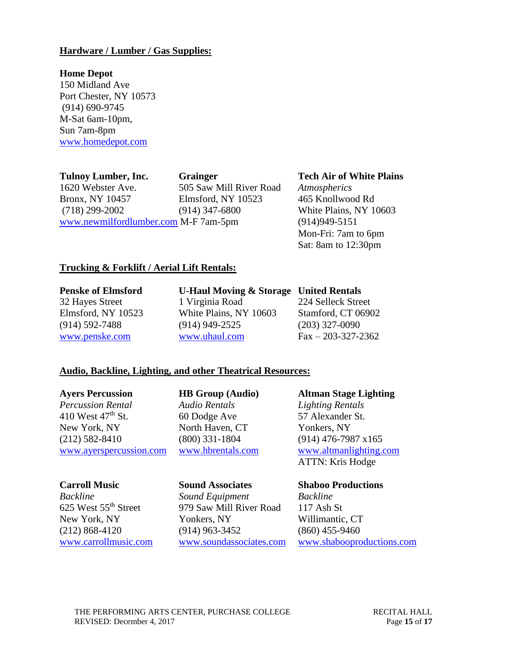### **Hardware / Lumber / Gas Supplies:**

#### **Home Depot**

150 Midland Ave Port Chester, NY 10573 (914) 690-9745 M-Sat 6am-10pm, Sun 7am-8pm [www.homedepot.com](http://www.homedepot.com/)

**Tulnoy Lumber, Inc. Grainger Tech Air of White Plains** 1620 Webster Ave. 505 Saw Mill River Road *Atmospherics* Bronx, NY 10457 Elmsford, NY 10523 465 Knollwood Rd (718) 299-2002 (914) 347-6800 White Plains, NY 10603 [www.newmilfordlumber.com](http://www.newmilfordlumber.com/) M-F 7am-5pm (914)949-5151

Mon-Fri: 7am to 6pm Sat: 8am to 12:30pm

### **Trucking & Forklift / Aerial Lift Rentals:**

**Penske of Elmsford U-Haul Moving & Storage United Rentals**

32 Hayes Street 1 Virginia Road 224 Selleck Street Elmsford, NY 10523 White Plains, NY 10603 Stamford, CT 06902 (914) 592-7488 (914) 949-2525 (203) 327-0090 [www.penske.com](http://www.penske.com/) [www.uhaul.com](http://www.uhaul.com/) Fax – 203-327-2362

### **Audio, Backline, Lighting, and other Theatrical Resources:**

*Percussion Rental Audio Rentals Lighting Rentals* 410 West 47<sup>th</sup> St. 60 Dodge Ave 57 Alexander St. New York, NY North Haven, CT Yonkers, NY

(212) 582-8410 (800) 331-1804 (914) 476-7987 x165 [www.ayerspercussion.com](file:///C:/Documents%20and%20Settings/christy.havard/Desktop/www.ayerspercussion.com) [www.hbrentals.com](file:///C:/Documents%20and%20Settings/christy.havard/Desktop/www.hbrentals.com) [www.altmanlighting.com](file:///C:/Documents%20and%20Settings/christy.havard/Desktop/www.altmanlighting.com)

*Backline Sound Equipment Backline* 625 West 55th Street 979 Saw Mill River Road 117 Ash St New York, NY Yonkers, NY Willimantic, CT (212) 868-4120 (914) 963-3452 (860) 455-9460

**Ayers Percussion HB Group (Audio) Altman Stage Lighting** ATTN: Kris Hodge

### **Carroll Music Sound Associates Shaboo Productions**

[www.carrollmusic.com](http://www.carrollmusic.com/) [www.soundassociates.com](http://www.soundassociates.com/) [www.shabooproductions.com](file:///C:/Documents%20and%20Settings/christy.havard/Desktop/www.shabooproductions.com)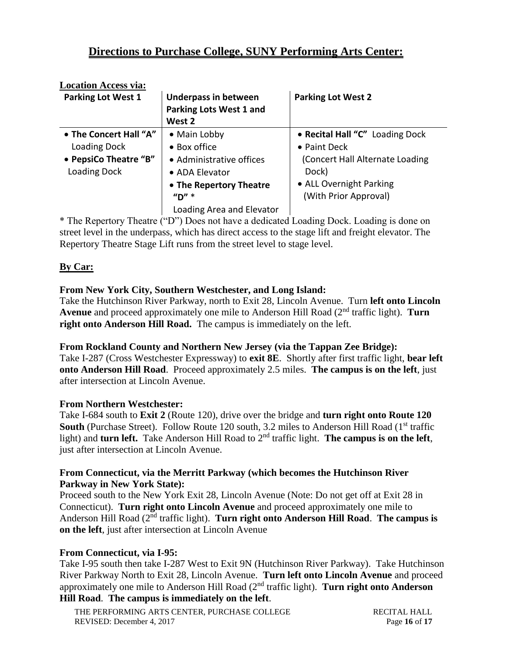# **Directions to Purchase College, SUNY Performing Arts Center:**

| <b>Location Access via:</b> |                                |                                 |
|-----------------------------|--------------------------------|---------------------------------|
| <b>Parking Lot West 1</b>   | <b>Underpass in between</b>    | <b>Parking Lot West 2</b>       |
|                             | <b>Parking Lots West 1 and</b> |                                 |
|                             | West 2                         |                                 |
| • The Concert Hall "A"      | • Main Lobby                   | • Recital Hall "C" Loading Dock |
| Loading Dock                | • Box office                   | • Paint Deck                    |
| • PepsiCo Theatre "B"       | • Administrative offices       | (Concert Hall Alternate Loading |
| Loading Dock                | • ADA Elevator                 | Dock)                           |
|                             | • The Repertory Theatre        | • ALL Overnight Parking         |
|                             | $''D''$ *                      | (With Prior Approval)           |
|                             | Loading Area and Elevator      |                                 |

\* The Repertory Theatre ("D") Does not have a dedicated Loading Dock. Loading is done on street level in the underpass, which has direct access to the stage lift and freight elevator. The Repertory Theatre Stage Lift runs from the street level to stage level.

# **By Car:**

# **From New York City, Southern Westchester, and Long Island:**

Take the Hutchinson River Parkway, north to Exit 28, Lincoln Avenue. Turn **left onto Lincoln Avenue** and proceed approximately one mile to Anderson Hill Road (2nd traffic light). **Turn right onto Anderson Hill Road.** The campus is immediately on the left.

### **From Rockland County and Northern New Jersey (via the Tappan Zee Bridge):**

Take I-287 (Cross Westchester Expressway) to **exit 8E**. Shortly after first traffic light, **bear left onto Anderson Hill Road**. Proceed approximately 2.5 miles. **The campus is on the left**, just after intersection at Lincoln Avenue.

### **From Northern Westchester:**

Take I-684 south to **Exit 2** (Route 120), drive over the bridge and **turn right onto Route 120 South** (Purchase Street). Follow Route 120 south, 3.2 miles to Anderson Hill Road (1<sup>st</sup> traffic light) and **turn left.** Take Anderson Hill Road to 2<sup>nd</sup> traffic light. **The campus is on the left**, just after intersection at Lincoln Avenue.

### **From Connecticut, via the Merritt Parkway (which becomes the Hutchinson River Parkway in New York State):**

Proceed south to the New York Exit 28, Lincoln Avenue (Note: Do not get off at Exit 28 in Connecticut). **Turn right onto Lincoln Avenue** and proceed approximately one mile to Anderson Hill Road (2nd traffic light). **Turn right onto Anderson Hill Road**. **The campus is on the left**, just after intersection at Lincoln Avenue

# **From Connecticut, via I-95:**

Take I-95 south then take I-287 West to Exit 9N (Hutchinson River Parkway). Take Hutchinson River Parkway North to Exit 28, Lincoln Avenue. **Turn left onto Lincoln Avenue** and proceed approximately one mile to Anderson Hill Road (2nd traffic light). **Turn right onto Anderson Hill Road**. **The campus is immediately on the left**.

THE PERFORMING ARTS CENTER, PURCHASE COLLEGE RECITAL HALL REVISED: December 4, 2017 Page 16 of 17